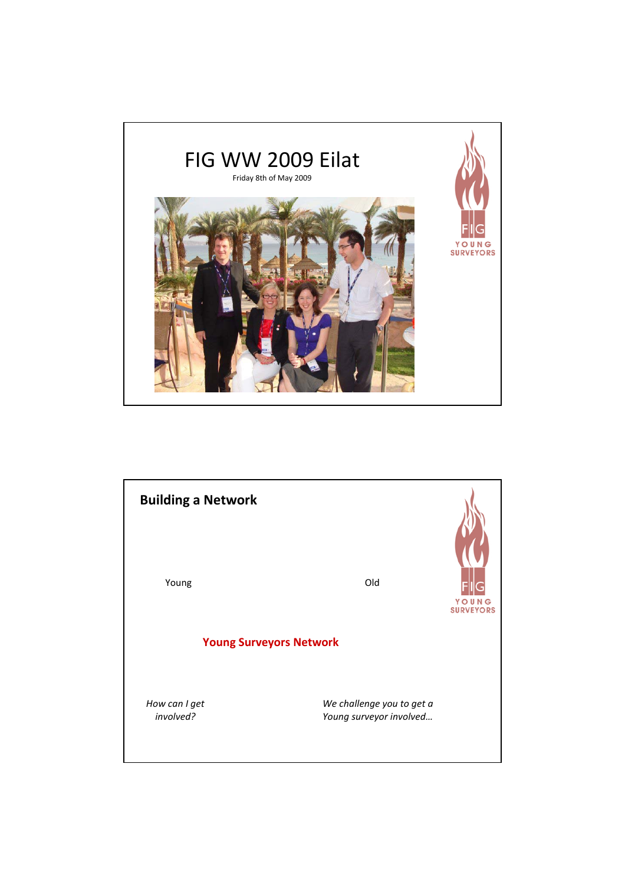

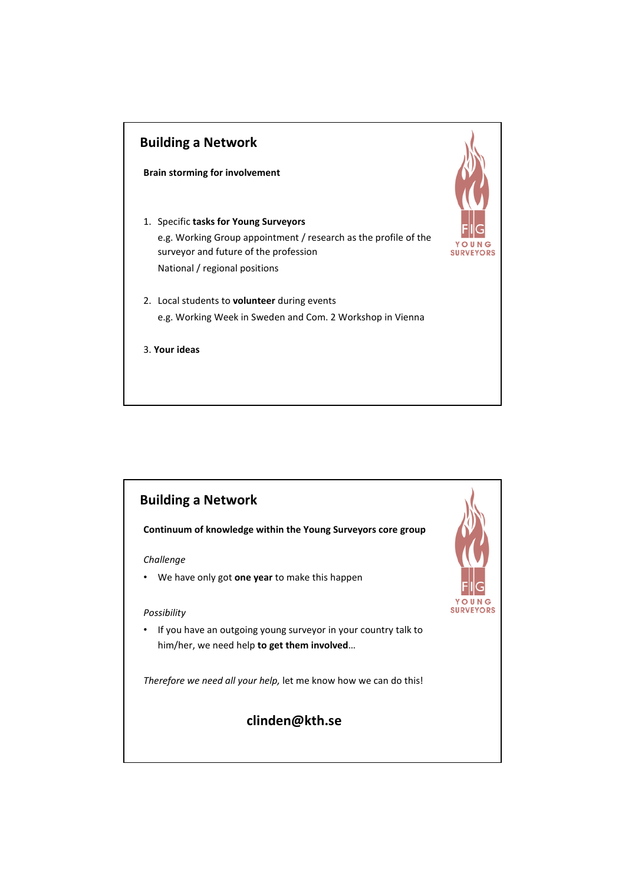